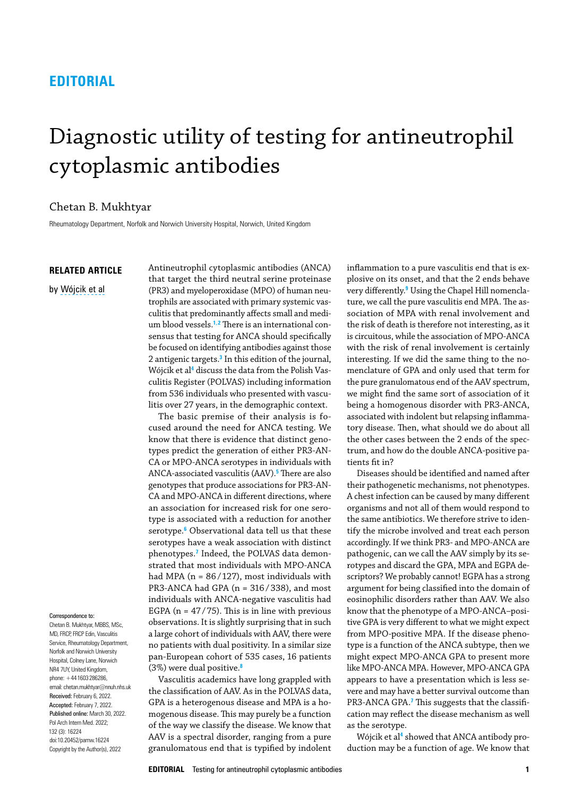## **EDITORIAL**

# Diagnostic utility of testing for antineutrophil cytoplasmic antibodies

### Chetan B. Mukhtyar

Rheumatology Department, Norfolk and Norwich University Hospital, Norwich, United Kingdom

#### **RELATED ARTICLE**

by [Wójcik et al](https://doi.org/10.20452/pamw.16187)

<span id="page-0-8"></span>Correspondence to: Chetan B. Mukhtyar, MBBS, MSc, MD, FRCP, FRCP Edin, Vasculitis Service, Rheumatology Department, Norfolk and Norwich University Hospital, Colney Lane, Norwich NR4 7UY, United Kingdom, phone: +441603286286, email: chetan.mukhtyar@nnuh.nhs.uk Received: February 6, 2022. Accepted: February 7, 2022. Published online: March 30, 2022. Pol Arch Intern Med. 2022; 132 (3): 16224 doi:10.20452/pamw.16224 Copyright by the Author(s), 2022

<span id="page-0-2"></span>Antineutrophil cytoplasmic antibodies (ANCA) that target the third neutral serine proteinase (PR3) and myeloperoxidase (MPO) of human neutrophils are associated with primary systemic vasculitis that predominantly affects small and medium blood vessels.**[1](#page-1-3),[2](#page-1-4)** There is an international consensus that testing for ANCA should specifically be focused on identifying antibodies against those 2 antigenic targets.**[3](#page-1-5)** In this edition of the journal, Wójcik et al**[4](#page-1-2)** discuss the data from the Polish Vasculitis Register (POLVAS) including information from 536 individuals who presented with vasculitis over 27 years, in the demographic context.

<span id="page-0-7"></span><span id="page-0-6"></span><span id="page-0-5"></span><span id="page-0-4"></span>The basic premise of their analysis is focused around the need for ANCA testing. We know that there is evidence that distinct genotypes predict the generation of either PR3-AN-CA or MPO-ANCA serotypes in individuals with ANCA-associated vasculitis (AAV).**[5](#page-1-6)** There are also genotypes that produce associations for PR3-AN-CA and MPO-ANCA in different directions, where an association for increased risk for one serotype is associated with a reduction for another serotype.**[6](#page-1-7)** Observational data tell us that these serotypes have a weak association with distinct phenotypes.**[7](#page-1-1)** Indeed, the POLVAS data demonstrated that most individuals with MPO-ANCA had MPA ( $n = 86/127$ ), most individuals with PR3-ANCA had GPA (n = 316 / 338), and most individuals with ANCA-negative vasculitis had EGPA ( $n = 47/75$ ). This is in line with previous observations. It is slightly surprising that in such a large cohort of individuals with AAV, there were no patients with dual positivity. In a similar size pan-European cohort of 535 cases, 16 patients (3%) were dual positive.**[8](#page-1-8)**

<span id="page-0-0"></span>Vasculitis academics have long grappled with the classification of AAV. As in the POLVAS data, GPA is a heterogenous disease and MPA is a homogenous disease. This may purely be a function of the way we classify the disease. We know that AAV is a spectral disorder, ranging from a pure granulomatous end that is typified by indolent <span id="page-0-3"></span><span id="page-0-1"></span>inflammation to a pure vasculitis end that is explosive on its onset, and that the 2 ends behave very differently.**[9](#page-1-0)** Using the Chapel Hill nomenclature, we call the pure vasculitis end MPA. The association of MPA with renal involvement and the risk of death is therefore not interesting, as it is circuitous, while the association of MPO-ANCA with the risk of renal involvement is certainly interesting. If we did the same thing to the nomenclature of GPA and only used that term for the pure granulomatous end of the AAV spectrum, we might find the same sort of association of it being a homogenous disorder with PR3-ANCA, associated with indolent but relapsing inflammatory disease. Then, what should we do about all the other cases between the 2 ends of the spectrum, and how do the double ANCA-positive patients fit in?

Diseases should be identified and named after their pathogenetic mechanisms, not phenotypes. A chest infection can be caused by many different organisms and not all of them would respond to the same antibiotics. We therefore strive to identify the microbe involved and treat each person accordingly. If we think PR3- and MPO-ANCA are pathogenic, can we call the AAV simply by its serotypes and discard the GPA, MPA and EGPA descriptors? We probably cannot! EGPA has a strong argument for being classified into the domain of eosinophilic disorders rather than AAV. We also know that the phenotype of a MPO-ANCA–positive GPA is very different to what we might expect from MPO-positive MPA. If the disease phenotype is a function of the ANCA subtype, then we might expect MPO-ANCA GPA to present more like MPO-ANCA MPA. However, MPO-ANCA GPA appears to have a presentation which is less severe and may have a better survival outcome than PR3-ANCA GPA.**[7](#page-1-1)** This suggests that the classification may reflect the disease mechanism as well as the serotype.

Wójcik et al**[4](#page-1-2)** showed that ANCA antibody production may be a function of age. We know that